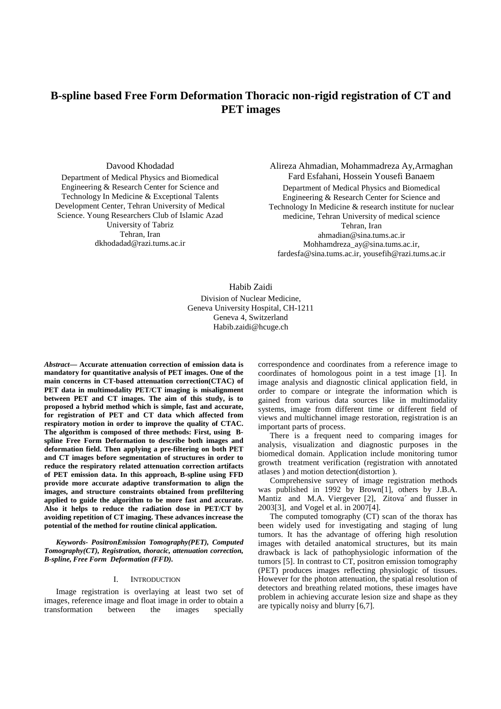# **B-spline based Free Form Deformation Thoracic non-rigid registration of CT and PET images**

# Davood Khodadad

Department of Medical Physics and Biomedical Engineering & Research Center for Science and Technology In Medicine & Exceptional Talents Development Center, Tehran University of Medical Science. Young Researchers Club of Islamic Azad University of Tabriz Tehran, Iran dkhodadad@razi.tums.ac.ir

Alireza Ahmadian, Mohammadreza Ay,Armaghan Fard Esfahani, Hossein Yousefi Banaem Department of Medical Physics and Biomedical Engineering & Research Center for Science and Technology In Medicine & research institute for nuclear medicine, Tehran University of medical science Tehran, Iran ahmadian@sina.tums.ac.ir Mohhamdreza\_ay@sina.tums.ac.ir, fardesfa@sina.tums.ac.ir, yousefih@razi.tums.ac.ir

Habib Zaidi Division of Nuclear Medicine, Geneva University Hospital, CH-1211 Geneva 4, Switzerland Habib.zaidi@hcuge.ch

*Abstract***— Accurate attenuation correction of emission data is mandatory for quantitative analysis of PET images. One of the main concerns in CT-based attenuation correction(CTAC) of PET data in multimodality PET/CT imaging is misalignment between PET and CT images. The aim of this study, is to proposed a hybrid method which is simple, fast and accurate, for registration of PET and CT data which affected from respiratory motion in order to improve the quality of CTAC. The algorithm is composed of three methods: First, using Bspline Free Form Deformation to describe both images and deformation field. Then applying a pre-filtering on both PET and CT images before segmentation of structures in order to reduce the respiratory related attenuation correction artifacts of PET emission data. In this approach, B-spline using FFD provide more accurate adaptive transformation to align the images, and structure constraints obtained from prefiltering applied to guide the algorithm to be more fast and accurate. Also it helps to reduce the radiation dose in PET/CT by avoiding repetition of CT imaging. These advances increase the potential of the method for routine clinical application.** 

*Keywords- PositronEmission Tomography(PET), Computed Tomography(CT), Registration, thoracic, attenuation correction, B-spline, Free Form Deformation (FFD).* 

# I. INTRODUCTION

Image registration is overlaying at least two set of images, reference image and float image in order to obtain a transformation between the images specially correspondence and coordinates from a reference image to coordinates of homologous point in a test image [1]. In image analysis and diagnostic clinical application field, in order to compare or integrate the information which is gained from various data sources like in multimodality systems, image from different time or different field of views and multichannel image restoration, registration is an important parts of process.

There is a frequent need to comparing images for analysis, visualization and diagnostic purposes in the biomedical domain. Application include monitoring tumor growth treatment verification (registration with annotated atlases ) and motion detection(distortion ).

Comprehensive survey of image registration methods was published in 1992 by Brown[1], others by J.B.A. Mantiz and M.A. Viergever [2], Zitova´ and flusser in 2003[3], and Vogel et al. in 2007[4].

The computed tomography (CT) scan of the thorax has been widely used for investigating and staging of lung tumors. It has the advantage of offering high resolution images with detailed anatomical structures, but its main drawback is lack of pathophysiologic information of the tumors [5]. In contrast to CT, positron emission tomography (PET) produces images reflecting physiologic of tissues. However for the photon attenuation, the spatial resolution of detectors and breathing related motions, these images have problem in achieving accurate lesion size and shape as they are typically noisy and blurry [6,7].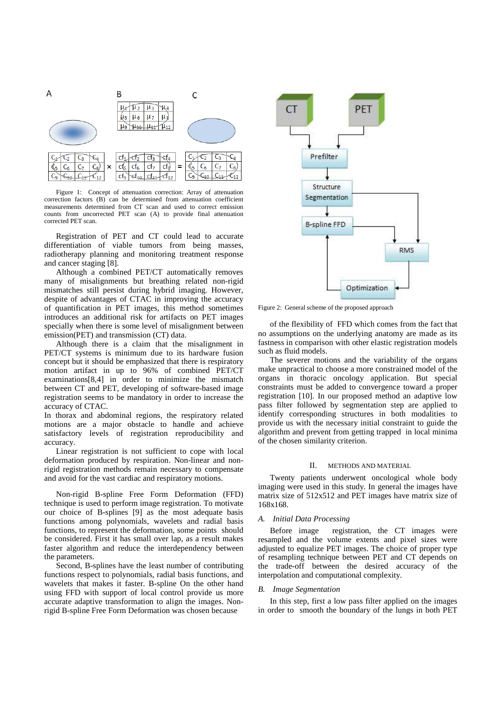

Figure 1: Concept of attenuation correction: Array of attenuation correction factors (B) can be determined from attenuation coefficient measurements determined from CT scan and used to correct emission counts from uncorrected PET scan (A) to provide final attenuation corrected PET scan.

Registration of PET and CT could lead to accurate differentiation of viable tumors from being masses, radiotherapy planning and monitoring treatment response and cancer staging [8].

Although a combined PET/CT automatically removes many of misalignments but breathing related non-rigid mismatches still persist during hybrid imaging. However, despite of advantages of CTAC in improving the accuracy of quantification in PET images, this method sometimes introduces an additional risk for artifacts on PET images specially when there is some level of misalignment between emission(PET) and transmission (CT) data.

Although there is a claim that the misalignment in PET/CT systems is minimum due to its hardware fusion concept but it should be emphasized that there is respiratory motion artifact in up to 96% of combined PET/CT examinations[8,4] in order to minimize the mismatch between CT and PET, developing of software-based image registration seems to be mandatory in order to increase the accuracy of CTAC.

In thorax and abdominal regions, the respiratory related motions are a major obstacle to handle and achieve satisfactory levels of registration reproducibility and accuracy.

Linear registration is not sufficient to cope with local deformation produced by respiration. Non-linear and nonrigid registration methods remain necessary to compensate and avoid for the vast cardiac and respiratory motions.

Non-rigid B-spline Free Form Deformation (FFD) technique is used to perform image registration. To motivate our choice of B-splines [9] as the most adequate basis functions among polynomials, wavelets and radial basis functions, to represent the deformation, some points should be considered. First it has small over lap, as a result makes faster algorithm and reduce the interdependency between the parameters.

Second, B-splines have the least number of contributing functions respect to polynomials, radial basis functions, and wavelets that makes it faster. B-spline On the other hand using FFD with support of local control provide us more accurate adaptive transformation to align the images. Nonrigid B-spline Free Form Deformation was chosen because



Figure 2: General scheme of the proposed approach

of the flexibility of FFD which comes from the fact that no assumptions on the underlying anatomy are made as its fastness in comparison with other elastic registration models such as fluid models.

The severer motions and the variability of the organs make unpractical to choose a more constrained model of the organs in thoracic oncology application. But special constraints must be added to convergence toward a proper registration [10]. In our proposed method an adaptive low pass filter followed by segmentation step are applied to identify corresponding structures in both modalities to provide us with the necessary initial constraint to guide the algorithm and prevent from getting trapped in local minima of the chosen similarity criterion.

## II. METHODS AND MATERIAL

Twenty patients underwent oncological whole body imaging were used in this study. In general the images have matrix size of 512x512 and PET images have matrix size of 168x168.

# *A. Initial Data Processing*

Before image registration, the CT images were resampled and the volume extents and pixel sizes were adjusted to equalize PET images. The choice of proper type of resampling technique between PET and CT depends on the trade-off between the desired accuracy of the interpolation and computational complexity.

### *B. Image Segmentation*

In this step, first a low pass filter applied on the images in order to smooth the boundary of the lungs in both PET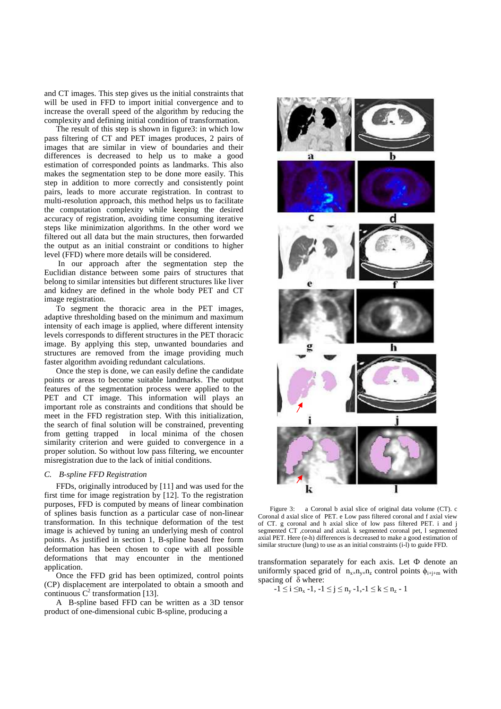and CT images. This step gives us the initial constraints that will be used in FFD to import initial convergence and to increase the overall speed of the algorithm by reducing the complexity and defining initial condition of transformation.

The result of this step is shown in figure3: in which low pass filtering of CT and PET images produces, 2 pairs of images that are similar in view of boundaries and their differences is decreased to help us to make a good estimation of corresponded points as landmarks. This also makes the segmentation step to be done more easily. This step in addition to more correctly and consistently point pairs, leads to more accurate registration. In contrast to multi-resolution approach, this method helps us to facilitate the computation complexity while keeping the desired accuracy of registration, avoiding time consuming iterative steps like minimization algorithms. In the other word we filtered out all data but the main structures, then forwarded the output as an initial constraint or conditions to higher level (FFD) where more details will be considered.

 In our approach after the segmentation step the Euclidian distance between some pairs of structures that belong to similar intensities but different structures like liver and kidney are defined in the whole body PET and CT image registration.

To segment the thoracic area in the PET images, adaptive thresholding based on the minimum and maximum intensity of each image is applied, where different intensity levels corresponds to different structures in the PET thoracic image. By applying this step, unwanted boundaries and structures are removed from the image providing much faster algorithm avoiding redundant calculations.

Once the step is done, we can easily define the candidate points or areas to become suitable landmarks. The output features of the segmentation process were applied to the PET and CT image. This information will plays an important role as constraints and conditions that should be meet in the FFD registration step. With this initialization, the search of final solution will be constrained, preventing from getting trapped in local minima of the chosen similarity criterion and were guided to convergence in a proper solution. So without low pass filtering, we encounter misregistration due to the lack of initial conditions.

#### *C. B-spline FFD Registration*

FFDs, originally introduced by [11] and was used for the first time for image registration by [12]. To the registration purposes, FFD is computed by means of linear combination of splines basis function as a particular case of non-linear transformation. In this technique deformation of the test image is achieved by tuning an underlying mesh of control points. As justified in section 1, B-spline based free form deformation has been chosen to cope with all possible deformations that may encounter in the mentioned application.

Once the FFD grid has been optimized, control points (CP) displacement are interpolated to obtain a smooth and continuous  $C^2$  transformation [13].

A B-spline based FFD can be written as a 3D tensor product of one-dimensional cubic B-spline, producing a



Figure 3: a Coronal b axial slice of original data volume (CT). c Coronal d axial slice of PET. e Low pass filtered coronal and f axial view of CT. g coronal and h axial slice of low pass filtered PET. i and j segmented CT ,coronal and axial. k segmented coronal pet, l segmented axial PET. Here (e-h) differences is decreased to make a good estimation of similar structure (lung) to use as an initial constraints (i-l) to guide FFD.

transformation separately for each axis. Let  $\Phi$  denote an uniformly spaced grid of  $n_{x} \times n_{y} \times n_{z}$  control points  $\phi_{i+j+m}$  with spacing of δ where:

$$
-1 \leq i \leq n_x - 1, \, -1 \leq j \leq n_y - 1, \, -1 \leq k \leq n_z - 1
$$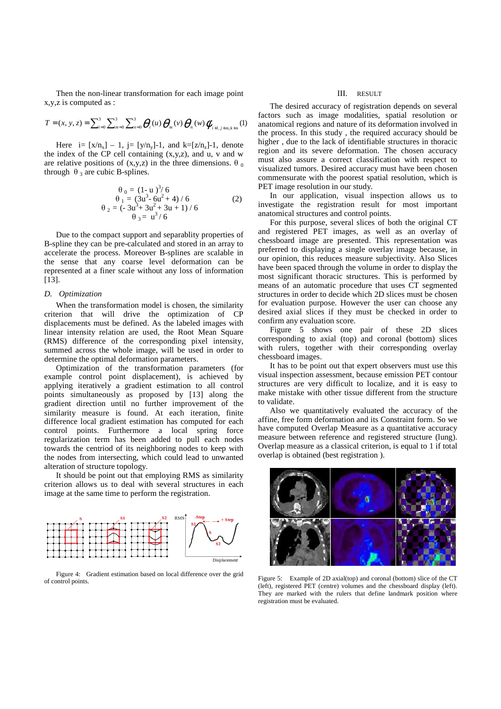Then the non-linear transformation for each image point x,y,z is computed as :

$$
T = (x, y, z) = \sum_{i=0}^{3} \sum_{m=0}^{3} \sum_{n=0}^{3} \theta_{i}(u) \theta_{m}(v) \theta_{n}(w) \phi_{i+l, j+m, k+n}(1)
$$

Here  $i = [x/n_x] - 1$ ,  $j = [y/n_y] - 1$ , and  $k = [z/n_z] - 1$ , denote the index of the CP cell containing  $(x,y,z)$ , and u, v and w are relative positions of (x,y,z) in the three dimensions.  $\theta_0$ through  $\theta_3$  are cubic B-splines.

$$
\theta_0 = (1 - u)^3/6
$$
  
\n
$$
\theta_1 = (3u^3 - 6u^2 + 4)/6
$$
  
\n
$$
\theta_2 = (-3u^3 + 3u^2 + 3u + 1)/6
$$
  
\n
$$
\theta_3 = u^3/6
$$
\n(2)

Due to the compact support and separablity properties of B-spline they can be pre-calculated and stored in an array to accelerate the process. Moreover B-splines are scalable in the sense that any coarse level deformation can be represented at a finer scale without any loss of information [13].

## *D. Optimization*

When the transformation model is chosen, the similarity criterion that will drive the optimization of CP displacements must be defined. As the labeled images with linear intensity relation are used, the Root Mean Square (RMS) difference of the corresponding pixel intensity, summed across the whole image, will be used in order to determine the optimal deformation parameters.

Optimization of the transformation parameters (for example control point displacement), is achieved by applying iteratively a gradient estimation to all control points simultaneously as proposed by [13] along the gradient direction until no further improvement of the similarity measure is found. At each iteration, finite difference local gradient estimation has computed for each control points. Furthermore a local spring force regularization term has been added to pull each nodes towards the centriod of its neighboring nodes to keep with the nodes from intersecting, which could lead to unwanted alteration of structure topology.

It should be point out that employing RMS as similarity criterion allows us to deal with several structures in each image at the same time to perform the registration.



Figure 4: Gradient estimation based on local difference over the grid of control points.

## III. RESULT

The desired accuracy of registration depends on several factors such as image modalities, spatial resolution or anatomical regions and nature of its deformation involved in the process. In this study , the required accuracy should be higher , due to the lack of identifiable structures in thoracic region and its severe deformation. The chosen accuracy must also assure a correct classification with respect to visualized tumors. Desired accuracy must have been chosen commensurate with the poorest spatial resolution, which is PET image resolution in our study.

In our application, visual inspection allows us to investigate the registration result for most important anatomical structures and control points.

For this purpose, several slices of both the original CT and registered PET images, as well as an overlay of chessboard image are presented. This representation was preferred to displaying a single overlay image because, in our opinion, this reduces measure subjectivity. Also Slices have been spaced through the volume in order to display the most significant thoracic structures. This is performed by means of an automatic procedure that uses CT segmented structures in order to decide which 2D slices must be chosen for evaluation purpose. However the user can choose any desired axial slices if they must be checked in order to confirm any evaluation score.

Figure 5 shows one pair of these 2D slices corresponding to axial (top) and coronal (bottom) slices with rulers, together with their corresponding overlay chessboard images.

It has to be point out that expert observers must use this visual inspection assessment, because emission PET contour structures are very difficult to localize, and it is easy to make mistake with other tissue different from the structure to validate.

Also we quantitatively evaluated the accuracy of the affine, free form deformation and its Constraint form. So we have computed Overlap Measure as a quantitative accuracy measure between reference and registered structure (lung). Overlap measure as a classical criterion, is equal to 1 if total overlap is obtained (best registration ).



Figure 5: Example of 2D axial(top) and coronal (bottom) slice of the CT (left), registered PET (centre) volumes and the chessboard display (left). They are marked with the rulers that define landmark position where registration must be evaluated.